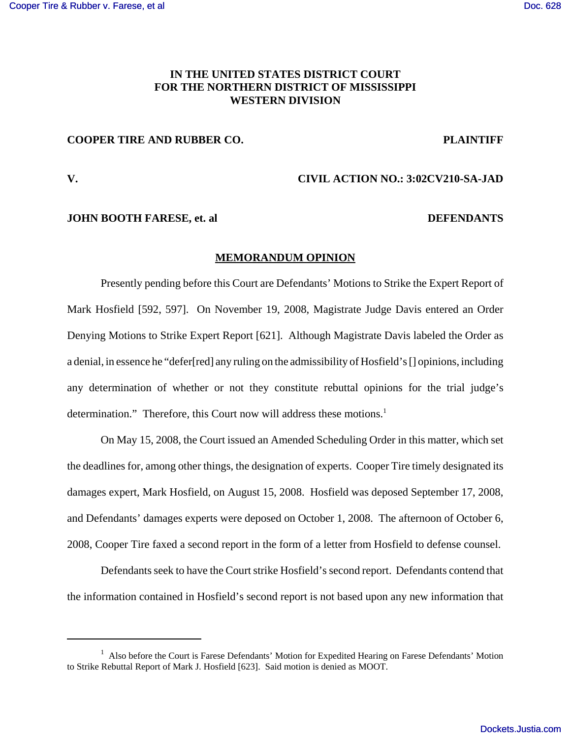# **IN THE UNITED STATES DISTRICT COURT FOR THE NORTHERN DISTRICT OF MISSISSIPPI WESTERN DIVISION**

# **COOPER TIRE AND RUBBER CO. PLAINTIFF**

# **V. CIVIL ACTION NO.: 3:02CV210-SA-JAD**

### **JOHN BOOTH FARESE, et. al DEFENDANTS**

# **MEMORANDUM OPINION**

Presently pending before this Court are Defendants' Motions to Strike the Expert Report of Mark Hosfield [592, 597]. On November 19, 2008, Magistrate Judge Davis entered an Order Denying Motions to Strike Expert Report [621]. Although Magistrate Davis labeled the Order as a denial, in essence he "defer[red] any ruling on the admissibility of Hosfield's [] opinions, including any determination of whether or not they constitute rebuttal opinions for the trial judge's determination." Therefore, this Court now will address these motions.<sup>1</sup>

On May 15, 2008, the Court issued an Amended Scheduling Order in this matter, which set the deadlines for, among other things, the designation of experts. Cooper Tire timely designated its damages expert, Mark Hosfield, on August 15, 2008. Hosfield was deposed September 17, 2008, and Defendants' damages experts were deposed on October 1, 2008. The afternoon of October 6, 2008, Cooper Tire faxed a second report in the form of a letter from Hosfield to defense counsel.

Defendants seek to have the Court strike Hosfield's second report. Defendants contend that the information contained in Hosfield's second report is not based upon any new information that

<sup>&</sup>lt;sup>1</sup> Also before the Court is Farese Defendants' Motion for Expedited Hearing on Farese Defendants' Motion to Strike Rebuttal Report of Mark J. Hosfield [623]. Said motion is denied as MOOT.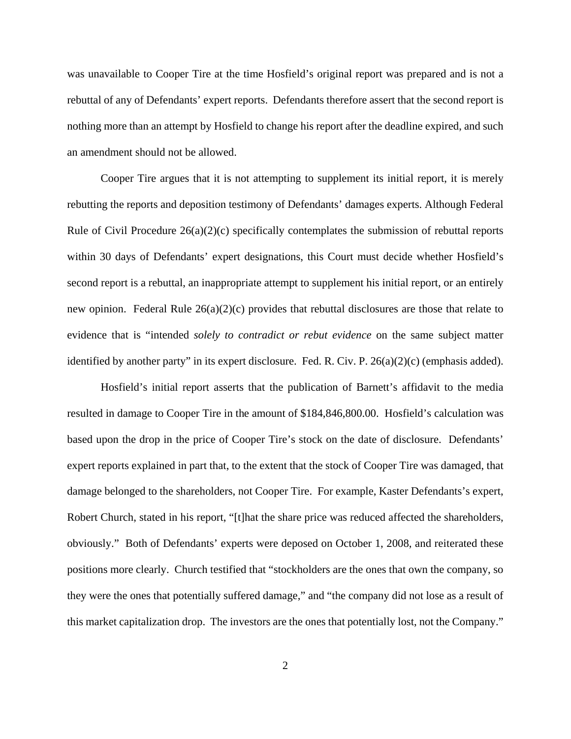was unavailable to Cooper Tire at the time Hosfield's original report was prepared and is not a rebuttal of any of Defendants' expert reports. Defendants therefore assert that the second report is nothing more than an attempt by Hosfield to change his report after the deadline expired, and such an amendment should not be allowed.

Cooper Tire argues that it is not attempting to supplement its initial report, it is merely rebutting the reports and deposition testimony of Defendants' damages experts. Although Federal Rule of Civil Procedure 26(a)(2)(c) specifically contemplates the submission of rebuttal reports within 30 days of Defendants' expert designations, this Court must decide whether Hosfield's second report is a rebuttal, an inappropriate attempt to supplement his initial report, or an entirely new opinion. Federal Rule  $26(a)(2)(c)$  provides that rebuttal disclosures are those that relate to evidence that is "intended *solely to contradict or rebut evidence* on the same subject matter identified by another party" in its expert disclosure. Fed. R. Civ. P. 26(a)(2)(c) (emphasis added).

Hosfield's initial report asserts that the publication of Barnett's affidavit to the media resulted in damage to Cooper Tire in the amount of \$184,846,800.00. Hosfield's calculation was based upon the drop in the price of Cooper Tire's stock on the date of disclosure. Defendants' expert reports explained in part that, to the extent that the stock of Cooper Tire was damaged, that damage belonged to the shareholders, not Cooper Tire. For example, Kaster Defendants's expert, Robert Church, stated in his report, "[t]hat the share price was reduced affected the shareholders, obviously." Both of Defendants' experts were deposed on October 1, 2008, and reiterated these positions more clearly. Church testified that "stockholders are the ones that own the company, so they were the ones that potentially suffered damage," and "the company did not lose as a result of this market capitalization drop. The investors are the ones that potentially lost, not the Company."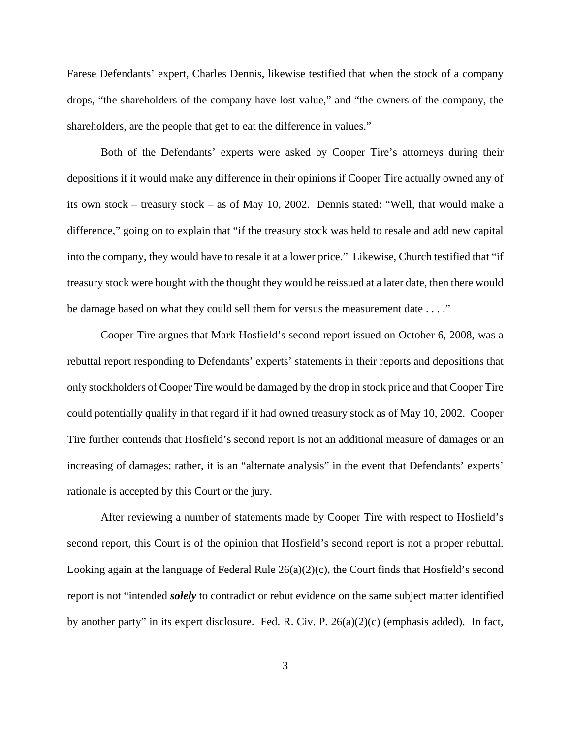Farese Defendants' expert, Charles Dennis, likewise testified that when the stock of a company drops, "the shareholders of the company have lost value," and "the owners of the company, the shareholders, are the people that get to eat the difference in values."

Both of the Defendants' experts were asked by Cooper Tire's attorneys during their depositions if it would make any difference in their opinions if Cooper Tire actually owned any of its own stock – treasury stock – as of May 10, 2002. Dennis stated: "Well, that would make a difference," going on to explain that "if the treasury stock was held to resale and add new capital into the company, they would have to resale it at a lower price." Likewise, Church testified that "if treasury stock were bought with the thought they would be reissued at a later date, then there would be damage based on what they could sell them for versus the measurement date . . . ."

Cooper Tire argues that Mark Hosfield's second report issued on October 6, 2008, was a rebuttal report responding to Defendants' experts' statements in their reports and depositions that only stockholders of Cooper Tire would be damaged by the drop in stock price and that Cooper Tire could potentially qualify in that regard if it had owned treasury stock as of May 10, 2002. Cooper Tire further contends that Hosfield's second report is not an additional measure of damages or an increasing of damages; rather, it is an "alternate analysis" in the event that Defendants' experts' rationale is accepted by this Court or the jury.

After reviewing a number of statements made by Cooper Tire with respect to Hosfield's second report, this Court is of the opinion that Hosfield's second report is not a proper rebuttal. Looking again at the language of Federal Rule 26(a)(2)(c), the Court finds that Hosfield's second report is not "intended *solely* to contradict or rebut evidence on the same subject matter identified by another party" in its expert disclosure. Fed. R. Civ. P. 26(a)(2)(c) (emphasis added). In fact,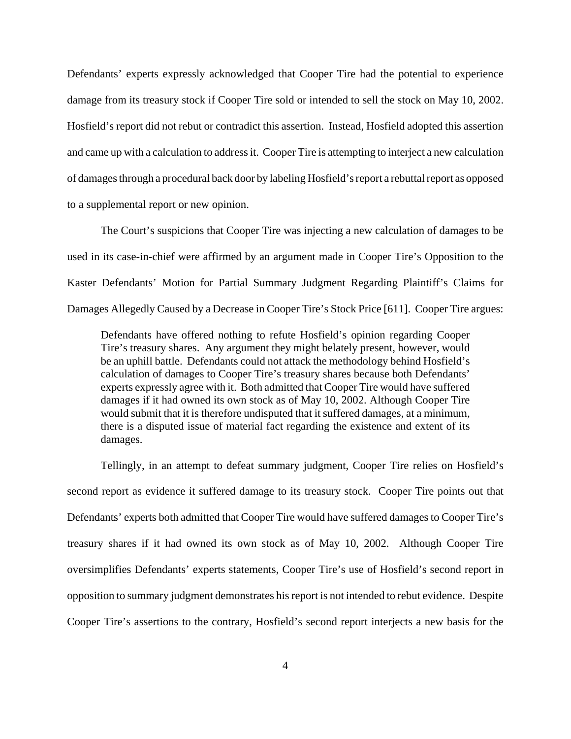Defendants' experts expressly acknowledged that Cooper Tire had the potential to experience damage from its treasury stock if Cooper Tire sold or intended to sell the stock on May 10, 2002. Hosfield's report did not rebut or contradict this assertion. Instead, Hosfield adopted this assertion and came up with a calculation to address it. Cooper Tire is attempting to interject a new calculation of damages through a procedural back door by labeling Hosfield's report a rebuttal report as opposed to a supplemental report or new opinion.

The Court's suspicions that Cooper Tire was injecting a new calculation of damages to be used in its case-in-chief were affirmed by an argument made in Cooper Tire's Opposition to the Kaster Defendants' Motion for Partial Summary Judgment Regarding Plaintiff's Claims for Damages Allegedly Caused by a Decrease in Cooper Tire's Stock Price [611]. Cooper Tire argues:

Defendants have offered nothing to refute Hosfield's opinion regarding Cooper Tire's treasury shares. Any argument they might belately present, however, would be an uphill battle. Defendants could not attack the methodology behind Hosfield's calculation of damages to Cooper Tire's treasury shares because both Defendants' experts expressly agree with it. Both admitted that Cooper Tire would have suffered damages if it had owned its own stock as of May 10, 2002. Although Cooper Tire would submit that it is therefore undisputed that it suffered damages, at a minimum, there is a disputed issue of material fact regarding the existence and extent of its damages.

Tellingly, in an attempt to defeat summary judgment, Cooper Tire relies on Hosfield's second report as evidence it suffered damage to its treasury stock. Cooper Tire points out that Defendants' experts both admitted that Cooper Tire would have suffered damages to Cooper Tire's treasury shares if it had owned its own stock as of May 10, 2002. Although Cooper Tire oversimplifies Defendants' experts statements, Cooper Tire's use of Hosfield's second report in opposition to summary judgment demonstrates his report is not intended to rebut evidence. Despite Cooper Tire's assertions to the contrary, Hosfield's second report interjects a new basis for the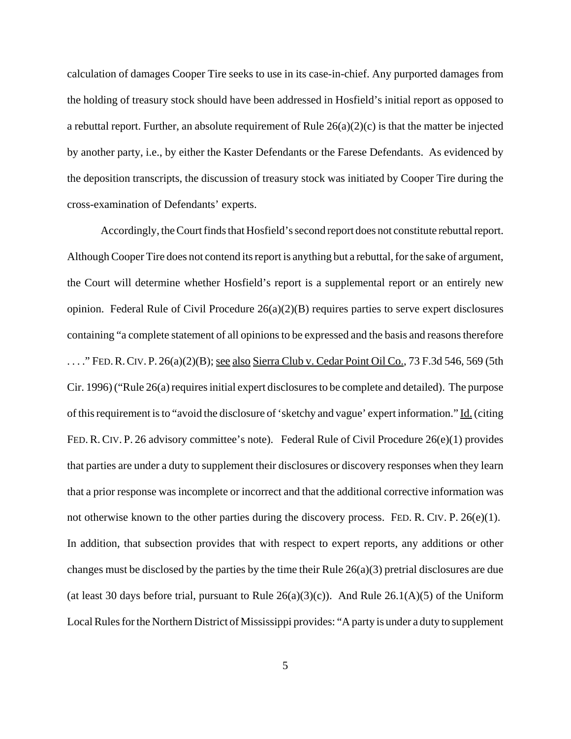calculation of damages Cooper Tire seeks to use in its case-in-chief. Any purported damages from the holding of treasury stock should have been addressed in Hosfield's initial report as opposed to a rebuttal report. Further, an absolute requirement of Rule  $26(a)(2)(c)$  is that the matter be injected by another party, i.e., by either the Kaster Defendants or the Farese Defendants. As evidenced by the deposition transcripts, the discussion of treasury stock was initiated by Cooper Tire during the cross-examination of Defendants' experts.

Accordingly, the Court finds that Hosfield's second report does not constitute rebuttal report. Although Cooper Tire does not contend its report is anything but a rebuttal, for the sake of argument, the Court will determine whether Hosfield's report is a supplemental report or an entirely new opinion. Federal Rule of Civil Procedure  $26(a)(2)(B)$  requires parties to serve expert disclosures containing "a complete statement of all opinions to be expressed and the basis and reasons therefore ...." FED. R. CIV. P.  $26(a)(2)(B)$ ; <u>see also Sierra Club v. Cedar Point Oil Co.</u>, 73 F.3d 546, 569 (5th Cir. 1996) ("Rule 26(a) requires initial expert disclosures to be complete and detailed). The purpose of this requirement is to "avoid the disclosure of 'sketchy and vague' expert information." Id. (citing FED. R. CIV. P. 26 advisory committee's note). Federal Rule of Civil Procedure 26(e)(1) provides that parties are under a duty to supplement their disclosures or discovery responses when they learn that a prior response was incomplete or incorrect and that the additional corrective information was not otherwise known to the other parties during the discovery process. FED. R. CIV. P. 26(e)(1). In addition, that subsection provides that with respect to expert reports, any additions or other changes must be disclosed by the parties by the time their Rule 26(a)(3) pretrial disclosures are due (at least 30 days before trial, pursuant to Rule  $26(a)(3)(c)$ ). And Rule  $26.1(A)(5)$  of the Uniform Local Rules for the Northern District of Mississippi provides: "A party is under a duty to supplement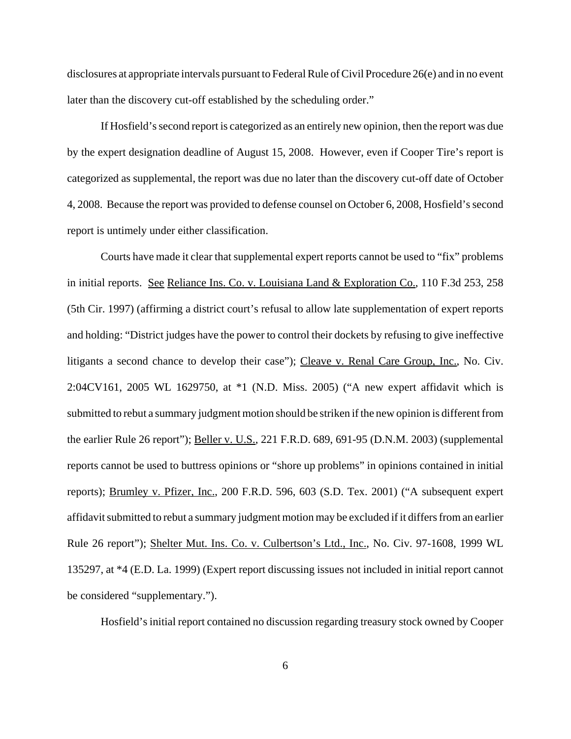disclosures at appropriate intervals pursuant to Federal Rule of Civil Procedure 26(e) and in no event later than the discovery cut-off established by the scheduling order."

If Hosfield's second report is categorized as an entirely new opinion, then the report was due by the expert designation deadline of August 15, 2008. However, even if Cooper Tire's report is categorized as supplemental, the report was due no later than the discovery cut-off date of October 4, 2008. Because the report was provided to defense counsel on October 6, 2008, Hosfield's second report is untimely under either classification.

Courts have made it clear that supplemental expert reports cannot be used to "fix" problems in initial reports. See Reliance Ins. Co. v. Louisiana Land & Exploration Co., 110 F.3d 253, 258 (5th Cir. 1997) (affirming a district court's refusal to allow late supplementation of expert reports and holding: "District judges have the power to control their dockets by refusing to give ineffective litigants a second chance to develop their case"); Cleave v. Renal Care Group, Inc., No. Civ. 2:04CV161, 2005 WL 1629750, at \*1 (N.D. Miss. 2005) ("A new expert affidavit which is submitted to rebut a summary judgment motion should be striken if the new opinion is different from the earlier Rule 26 report"); Beller v. U.S., 221 F.R.D. 689, 691-95 (D.N.M. 2003) (supplemental reports cannot be used to buttress opinions or "shore up problems" in opinions contained in initial reports); Brumley v. Pfizer, Inc., 200 F.R.D. 596, 603 (S.D. Tex. 2001) ("A subsequent expert affidavit submitted to rebut a summary judgment motion may be excluded if it differs from an earlier Rule 26 report"); Shelter Mut. Ins. Co. v. Culbertson's Ltd., Inc., No. Civ. 97-1608, 1999 WL 135297, at \*4 (E.D. La. 1999) (Expert report discussing issues not included in initial report cannot be considered "supplementary.").

Hosfield's initial report contained no discussion regarding treasury stock owned by Cooper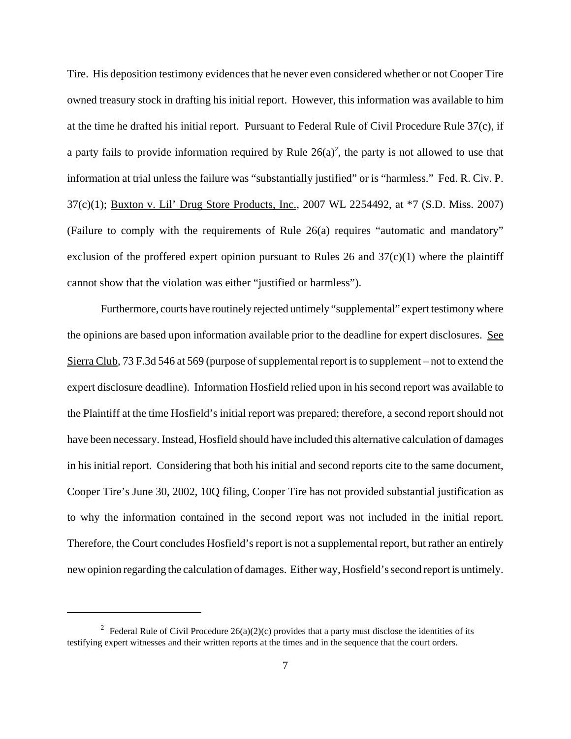Tire. His deposition testimony evidences that he never even considered whether or not Cooper Tire owned treasury stock in drafting his initial report. However, this information was available to him at the time he drafted his initial report. Pursuant to Federal Rule of Civil Procedure Rule 37(c), if a party fails to provide information required by Rule  $26(a)^2$ , the party is not allowed to use that information at trial unless the failure was "substantially justified" or is "harmless." Fed. R. Civ. P. 37(c)(1); Buxton v. Lil' Drug Store Products, Inc., 2007 WL 2254492, at \*7 (S.D. Miss. 2007) (Failure to comply with the requirements of Rule 26(a) requires "automatic and mandatory" exclusion of the proffered expert opinion pursuant to Rules 26 and  $37(c)(1)$  where the plaintiff cannot show that the violation was either "justified or harmless").

Furthermore, courts have routinely rejected untimely "supplemental" expert testimony where the opinions are based upon information available prior to the deadline for expert disclosures. See Sierra Club, 73 F.3d 546 at 569 (purpose of supplemental report is to supplement – not to extend the expert disclosure deadline). Information Hosfield relied upon in his second report was available to the Plaintiff at the time Hosfield's initial report was prepared; therefore, a second report should not have been necessary. Instead, Hosfield should have included this alternative calculation of damages in his initial report. Considering that both his initial and second reports cite to the same document, Cooper Tire's June 30, 2002, 10Q filing, Cooper Tire has not provided substantial justification as to why the information contained in the second report was not included in the initial report. Therefore, the Court concludes Hosfield's report is not a supplemental report, but rather an entirely new opinion regarding the calculation of damages. Either way, Hosfield's second report is untimely.

<sup>&</sup>lt;sup>2</sup> Federal Rule of Civil Procedure 26(a)(2)(c) provides that a party must disclose the identities of its testifying expert witnesses and their written reports at the times and in the sequence that the court orders.